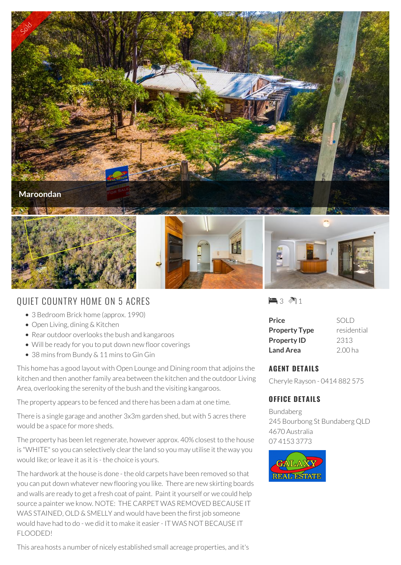

## QUIET COUNTRY HOME ON 5 ACRES

- 3 Bedroom Brick home (approx. 1990)
- Open Living, dining & Kitchen
- Rear outdoor overlooks the bush and kangaroos
- Will be ready for you to put down new floor coverings
- 38 mins from Bundy & 11 mins to Gin Gin

This home has a good layout with Open Lounge and Dining room that adjoins the kitchen and then another family area between the kitchen and the outdoor Living Area, overlooking the serenity of the bush and the visiting kangaroos.

The property appears to be fenced and there has been a dam at one time.

There is a single garage and another 3x3m garden shed, but with 5 acres there would be a space for more sheds.

The property has been let regenerate, however approx. 40% closest to the house is "WHITE" so you can selectively clear the land so you may utilise it the way you would like; or leave it as it is - the choice is yours.

The hardwork at the house is done - the old carpets have been removed so that you can put down whatever new flooring you like. There are new skirting boards and walls are ready to get a fresh coat of paint. Paint it yourself or we could help source a painter we know. NOTE: THE CARPET WAS REMOVED BECAUSE IT WAS STAINED, OLD & SMELLY and would have been the first job someone would have had to do - we did it to make it easier - IT WAS NOT BECAUSE IT FLOODED!

This area hosts a number of nicely established small acreage properties, and it's

 $\blacksquare$  3  $\blacksquare$  1

| Price                | SOLD               |
|----------------------|--------------------|
| <b>Property Type</b> | residential        |
| <b>Property ID</b>   | 2313               |
| <b>Land Area</b>     | 2.00 <sub>ha</sub> |

## **AGENT DETAILS**

Cheryle Rayson - 0414 882 575

## **OFFICE DETAILS**

Bundaberg 245 Bourbong St Bundaberg QLD 4670 Australia 07 4153 3773